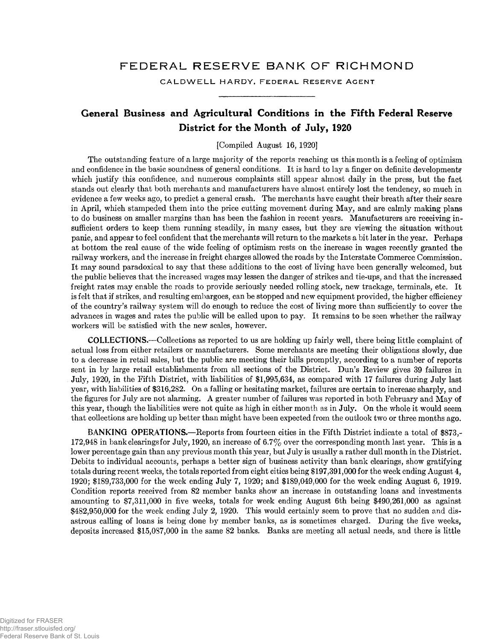## **FEDERAL RESERVE BANK OF RICHMOND**

**CALDWELL HARDY, FEDERAL RESERVE AGENT**

## **General Business and Agricultural Conditions in the Fifth Federal Reserve District for the Month of July, 1920**

[Compiled August 16, 1920]

The outstanding feature of a large majority of the reports reaching us this month is a feeling of optimism and confidence in the basic soundness of general conditions. It is hard to lay a finger on definite developments which justify this confidence, and numerous complaints still appear almost daily in the press, but the fact stands out clearly that both merchants and manufacturers have almost entirely lost the tendency, so much in evidence a few weeks ago, to predict a general crash. The merchants have caught their breath after their scare in April, which stampeded them into the price cutting movement during May, and are calmly making plans to do business on smaller margins than has been the fashion in recent years. Manufacturers are receiving insufficient orders to keep them running steadily, in many cases, but they are viewing the situation without panic, and appear to feel confident that the merchants will return to the markets a bit later in the year. Perhaps at bottom the real cause of the wide feeling of optimism rests on the increase in wages recently granted the railway workers, and the increase in freight charges allowed the roads by the Interstate Commerce Commission. It may sound paradoxical to say that these additions to the cost of living have been generally welcomed, but the public believes that the increased wages may lessen the danger of strikes and tie-ups, and that the increased freight rates may enable the roads to provide seriously needed rolling stock, new trackage, terminals, etc. It is felt that if strikes, and resulting embargoes, can be stopped and new equipment provided, the higher efficiency of the country's railway system will do enough to reduce the cost of living more than sufficiently to cover the advances in wages and rates the public will be called upon to pay. It remains to be seen whether the railway workers will be satisfied with the new scales, however.

COLLECTIONS.—Collections as reported to us are holding up fairly well, there being little complaint of actual loss from either retailers or manufacturers. Some merchants are meeting their obligations slowly, due to a decrease in retail sales, but the public are meeting their bills promptly, according to a number of reports sent in by large retail establishments from all sections of the District. Dun's Review gives 39 failures in July, 1920, in the Fifth District, with liabilities of SI,995,634, as compared with 17 failures during July last year, with liabilities of \$316,282. On a falling or hesitating market, failures are certain to increase sharply, and the figures for July are not alarming. A greater number of failures was reported in both February and May of this year, though the liabilities were not quite as high in either month as in July. On the whole it would seem that collections are holding up better than might have been expected from the outlook two or three months ago.

BANKING OPERATIONS.—Reports from fourteen cities in the Fifth District indicate a total of \$873,-172,948 in bank clearings for July, 1920, an increase of 6.7% over the corresponding month last year. This is a lower percentage gain than any previous month this year, but July is usually a rather dull month in the District. Debits to individual accounts, perhaps a better sign of business activity than bank clearings, show gratifying totals during recent weeks, the totals reported from eight cities being \$197,391,000 for the week ending August 4, 1920; \$189,733,000 for the week ending July 7, 1920; and \$189,049,000 for the week ending August 6, 1919. Condition reports received from 82 member banks show an increase in outstanding loans and investments amounting to \$7,31.1,000 in five weeks, totals for week ending August 6th being \$490,261,000 as against \$482,950,000 for the week ending July 2, 1920. This would certainly seem to prove that no sudden and disastrous calling of loans is being done by member banks, as is sometimes charged. During the five weeks, deposits increased \$15,087,000 in the same 82 banks. Banks are meeting all actual needs, and there is little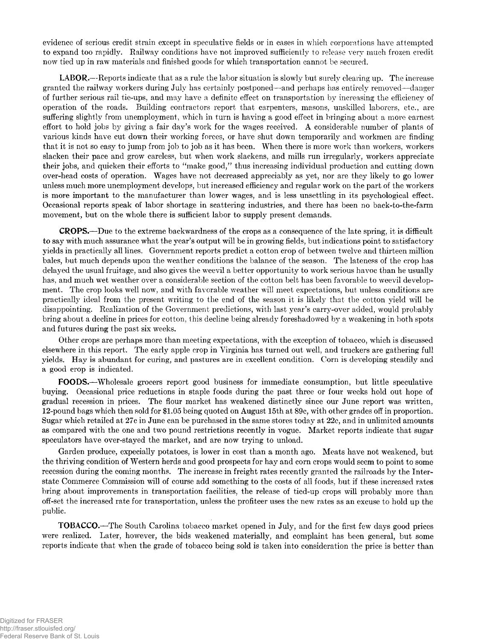evidence of serious credit strain except in speculative fields or in cases in which corporations have attempted to expand too rapidly. Railway conditions have not improved sufficiently to release very much frozen credit now tied up in raw materials and finished goods for which transportation cannot be secured.

LABOR.—Reports indicate that as a rule the labor situation is slowly but surely clearing up. The increase granted the railway workers during July has certainly postponed—and perhaps has entirely removed—danger of further serious rail tie-ups, and may have a definite effect on transportation by increasing the efficiency of operation of the roads. Building contractors report that carpenters, masons, unskilled laborers, etc., are suffering slightly from unemployment, which in turn is having a good effect in bringing about a more earnest effort to hold jobs by giving a fair day's work for the wages received. A considerable number of plants of various kinds have cut down their working forces, or have shut down temporarily and workmen are finding that it is not so easy to jump from job to job as it has been. When there is more work than workers, workers slacken their pace and grow careless, but when work slackens, and mills run irregularly, workers appreciate their jobs, and quicken their efforts to "make good," thus increasing individual production and cutting down over-head costs of operation. Wages have not decreased appreciably as yet, nor are they likely to go lower unless much more unemployment develops, but increased efficiency and regular work on the part of the workers is more important to the manufacturer than lower wages, and is less unsettling in its psychological effect. Occasional reports speak of labor shortage in scattering industries, and there has been no back-to-the-farm movement, but on the whole there is sufficient labor to supply present demands.

CROPS .—Due to the extreme backwardness of the crops as a consequence of the late spring, it is difficult to say with much assurance what the year's output will be in growing fields, but indications point to satisfactory yields in practically all lines. Government reports predict a cotton crop of between twelve and thirteen million bales, but much depends upon the weather conditions the balance of the season. The lateness of the crop has delayed the usual fruitage, and also gives the weevil a better opportunity to work serious havoc than he usually has, and much wet weather over a considerable section of the cotton belt has been favorable to weevil development. The crop looks well now, and with favorable weather will meet expectations, but unless conditions are practically ideal from the present writing to the end of the season it is likely that the cotton yield will be disappointing. Realization of the Government predictions, with last year's carry-over added, would probably bring about a decline in prices for cotton, this decline being already foreshadowed by a weakening in both spots and futures during the past six weeks.

Other crops are perhaps more than meeting expectations, with the exception of tobacco, which is discussed elsewhere in this report. The early apple crop in Virginia has turned out well, and truckers are gathering full yields. Hay is abundant for curing, and pastures are in excellent condition. Corn is developing steadily and a good crop is indicated.

FOODS.—Wholesale grocers report good business for immediate consumption, but little speculative buying. Occasional price reductions in staple foods during the past three or four weeks hold out hope of gradual recession in prices. The flour market has weakened distinctly since our June report was written, 12-pound bags which then sold for \$1.05 being quoted on August 15th at 89c, with other grades off in proportion. Sugar which retailed at 27c in June can be purchased in the same stores today at 22c, and in unlimited amounts as compared with the one and two pound restrictions recently in vogue. Market reports indicate that sugar speculators have over-staved the market, and are now trying to unload.

Garden produce, expecially potatoes, is lower in cost than a month ago. Meats have not weakened, but the thriving condition of Western herds and good prospects for hay and corn crops would seem to point to some recession during the coming months. The increase in freight rates recently granted the railroads by the Interstate Commerce Commission will of course add something to the costs of all foods, but if these increased rates bring about improvements in transportation facilities, the release of tied-up crops will probably more than off-set the increased rate for transportation, unless the profiteer uses the new rates as an excuse to hold up the public.

TOBACCO.—The South Carolina tobacco market opened in July, and for the first few days good prices were realized. Later, however, the bids weakened materially, and complaint has been general, but some reports indicate that when the grade of tobacco being sold is taken into consideration the price is better than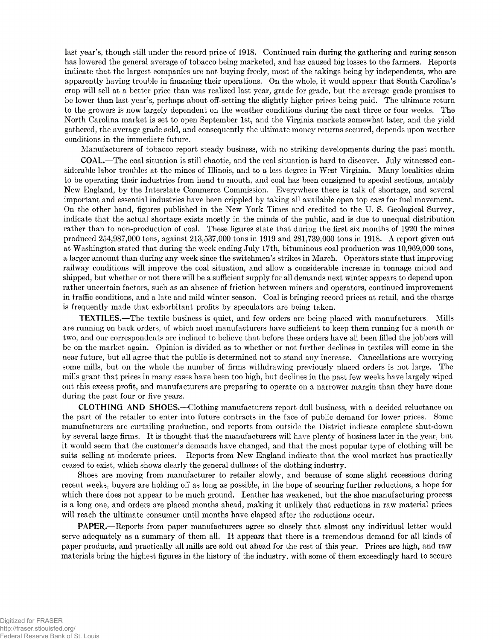last year's, though still under the record price of 1918. Continued rain during the gathering and curing season has lowered the general average of tobacco being marketed, and has caused big losses to the farmers. Reports indicate that the largest companies are not buying freely, most of the takings being by independents, who are apparently having trouble in financing their operations. On the whole, it would appear that South Carolina's crop will sell at a better price than was realized last year, grade for grade, but the average grade promises to be lower than last year's, perhaps about off-setting the slightly higher prices being paid. The ultimate return to the growers is now largely dependent on the weather conditions during the next three or four weeks. The North Carolina market is set to open September 1st, and the Virginia markets somewhat later, and the yield gathered, the average grade sold, and consequently the ultimate money returns secured, depends upon weather conditions in the immediate future.

Manufacturers of tobacco report steady business, with no striking developments during the past month.

COAL.—The coal situation is still chaotic, and the real situation is hard to discover. July witnessed considerable labor troubles at the mines of Illinois, and to a less degree in West Virginia. Many localities claim to be operating their industries from hand to mouth, and coal has been consigned to special sections, notably New England, by the Interstate Commerce Commission. Everywhere there is talk of shortage, and several important and essential industries have been crippled by taking all available open top cars for fuel movement. On the other hand, figures published in the New York Times and credited to the U. S. Geological Survey, indicate that the actual shortage exists mostly in the minds of the public, and is due to unequal distribution rather than to non-production of coal. These figures state that during the first six months of 1920 the mines produced 254,987,000 tons, against 213,537,000 tons in 1919 and 281,739,000 tons in 1918. A report given out at Washington stated that during the week ending July 17th, bituminous coal production was 10,969,000 tons, a larger amount than during any week since the switchmen's strikes in March. Operators state that improving railway conditions will improve the coal situation, and allow a considerable increase in tonnage mined and shipped, but whether or not there will be a sufficient supply for all demands next winter appears to depend upon rather uncertain factors, such as an absence of friction between miners and operators, continued improvement in traffic conditions, and a late and mild winter season. Coal is bringing record prices at retail, and the charge is frequently made that exhorbitant profits by speculators are being taken.

TEXTILES.—The textile business is quiet, and few orders are being placed with manufacturers. Mills are running on back orders, of which most manufacturers have sufficient to keep them running for a month or two, and our correspondents are inclined to believe that before these orders have all been filled the jobbers will be on the market again. Opinion is divided as to whether or not further declines in textiles will come in the near future, but all agree that the public is determined not to stand any increase. Cancellations are worrying some mills, but on the whole the number of firms withdrawing previously placed orders is not large. The mills grant that prices in many cases have been too high, but declines in the past few weeks have largely wiped out this excess profit, and manufacturers are preparing to operate on a narrower margin than they have done during the past four or five years.

CLOTHING AND SHOES.—Clothing manufacturers report dull business, with a decided reluctance on the part of the retailer to enter into future contracts in the face of public demand for lower prices. Some manufacturers are curtailing production, and reports from outside the District indicate complete shut-down by several large firms. It is thought that the manufacturers will have plenty of business later in the year, but it would seem that the customer's demands have changed, and that the most popular type of clothing will be suits selling at moderate prices. Reports from New England indicate that the wool market has practically ceased to exist, which shows clearly the general dullness of the clothing industry.

Shoes are moving from manufacturer to retailer slowly, and because of some slight recessions during recent weeks, buyers are holding off as long as possible, in the hope of securing further reductions, a hope for which there does not appear to be much ground. Leather has weakened, but the shoe manufacturing process is a long one, and orders are placed months ahead, making it unlikely that reductions in raw material prices will reach the ultimate consumer until months have elapsed after the reductions occur.

PAPER.—Reports from paper manufacturers agree so closely that almost any individual letter would serve adequately as a summary of them all. It appears that there is a tremendous demand for all kinds of paper products, and practically all mills are sold out ahead for the rest of this year. Prices are high, and raw materials bring the highest figures in the history of the industry, with some of them exceedingly hard to secure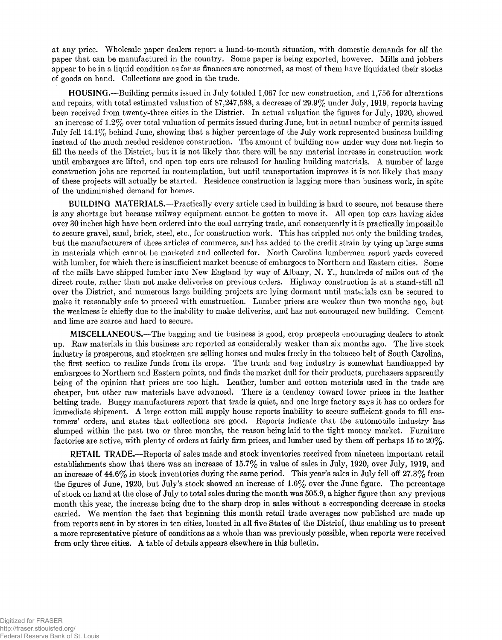at any price. Wholesale paper dealers report a hand-to-mouth situation, with domestic demands for all the paper that can be manufactured in the country. Some paper is being exported, however. Mills and jobbers appear to be in a liquid condition as far as finances are concerned, as most of them have liquidated their stocks of goods on hand. Collections are good in the trade.

HOUSING.—Building permits issued in July totaled 1,067 for new construction, and 1,756 for alterations and repairs, with total estimated valuation of \$7,247,588, a decrease of 29.9% under July, 1919, reports having been received from twenty-three cities in the District. In actual valuation the figures for July, 1920, showed an increase of 1.2% over total valuation of permits issued during June, but in actual number of permits issued July fell 14.1% behind June, showing that a higher percentage of the July work represented business building instead of the much needed residence construction. The amount of building now under way does not begin to fill the needs of the District, but it is not likely that there will be any material increase in construction work until embargoes are lifted, and open top cars are released for hauling building materials. A number of large construction jobs are reported in contemplation, but until transportation improves it is not likely that many of these projects will actually be started. Residence construction is lagging more than business work, in spite of the undiminished demand for homes.

BUILDING MATERIALS.—Practically every article used in building is hard to secure, not because there is any shortage but because railway equipment cannot be gotten to move it. All open top cars having sides over 30 inches high have been ordered into the coal carrying trade, and consequently it is practically impossible to secure gravel, sand, brick, steel, etc., for construction work. This has crippled not only the building trades, but the manufacturers of these articles of commerce, and has added to the credit strain by tying up large sums in materials which cannot be marketed and collected for. North Carolina lumbermen report yards covered with lumber, for which there is insufficient market because of embargoes to Northern and Eastern cities. Some of the mills have shipped lumber into New England by way of Albany, N. Y., hundreds of miles out of the direct route, rather than not make deliveries on previous orders. Highway construction is at a stand-still all over the District, and numerous large building projects are lying dormant until materials can be secured to make it reasonably safe to proceed with construction. Lumber prices are weaker than two months ago, but the weakness is chiefly due to the inability to make deliveries, and has not encouraged new building. Cement and lime are scarce and hard to secure.

MISCELLANEOUS.—The bagging and tie business is good, crop prospects encouraging dealers to stock up. Raw materials in this business are reported as considerably weaker than six months ago. The live stock industry is prosperous, and stockmen are selling horses and mules freely in the tobacco belt of South Carolina, the first section to realize funds from its crops. The trunk and bag industry is somewhat handicapped by embargoes to Northern and Eastern points, and finds the market dull for their products, purchasers apparently being of the opinion that prices are too high. Leather, lumber and cotton materials used in the trade are cheaper, but other raw materials have advanced. There is a tendency toward lower prices in the leather belting trade. Buggy manufacturers report that trade is quiet, and one large factory says it has no orders for immediate shipment. A large cotton mill supply house reports inability to secure sufficient goods to fill customers' orders, and states that collections are good. Reports indicate that the automobile industry has slumped within the past two or three months, the reason being laid to the tight money market. Furniture factories are active, with plenty of orders at fairly firm prices, and lumber used by them off perhaps 15 to 20%.

RETAIL TRADE.—Reports of sales made and stock inventories received from nineteen important retail establishments show that there was an increase of 15.7% in value of sales in July, 1920, over July, 1919, and an increase of  $44.6\%$  in stock inventories during the same period. This year's sales in July fell off  $27.3\%$  from the figures of June, 1920, but July's stock showed an increase of 1.6% over the June figure. The percentage of stock on hand at the close of July to total sales during the month was 505.9, a higher figure than any previous month this year, the increase being due to the sharp drop in sales without a corresponding decrease in stocks carried. We mention the fact that beginning this month retail trade averages now published are made up from reports sent in by stores in ten cities, located in all five States of the District, thus enabling us to present a more representative picture of conditions as a whole than was previously possible, when reports were received from only three cities. A table of details appears elsewhere in this bulletin.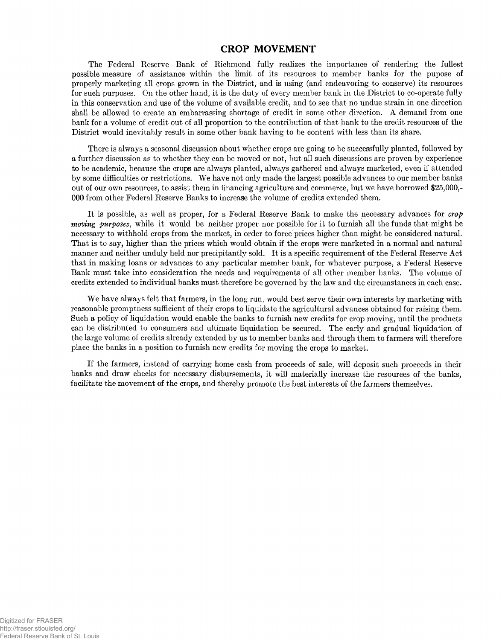#### **CROP MOVEMENT**

The Federal Reserve Bank of Richmond fully realizes the importance of rendering the fullest possible measure of assistance within the limit of its resources to member banks for the pupose of properly marketing all crops grown in the District, and is using (and endeavoring to conserve) its resources for such purposes. On the other hand, it is the duty of every member bank in the District to co-operate fully in this conservation and use of the volume of available credit, and to see that no undue strain in one direction shall be allowed to create an embarrassing shortage of credit in some other direction. A demand from one bank for a volume of credit out of all proportion to the contribution of that bank to the credit resources of the District would inevitably result in some other bank having to be content with less than its share.

There is always a seasonal discussion about whether crops are going to be successfully planted, followed by a further discussion as to whether they can be moved or not, but all such discussions are proven by experience to be academic, because the crops are always planted, always gathered and always marketed, even if attended by some difficulties or restrictions. We have not only made the largest possible advances to our member banks out of our own resources, to assist them in financing agriculture and commerce, but we have borrowed \$25,000,- 000 from other Federal Reserve Banks to increase the volume of credits extended them.

It is possible, as well as proper, for a Federal Reserve Bank to make the necessary advances for *crop moving purposes*, while it would be neither proper nor possible for it to furnish all the funds that might be necessary to withhold crops from the market, in order to force prices higher than might be considered natural. That is to say, higher than the prices which would obtain if the crops were marketed in a normal and natural manner and neither unduly held nor precipitantly sold. It is a specific requirement of the Federal Reserve Act that in making loans or advances to any particular member bank, for whatever purpose, a Federal Reserve Bank must take into consideration the needs and requirements of all other member banks. The volume of credits extended to individual banks must therefore be governed by the law and the circumstances in each case.

We have always felt that farmers, in the long run, would best serve their own interests by marketing with reasonable promptness sufficient of their crops to liquidate the agricultural advances obtained for raising them. Such a policy of liquidation would enable the banks to furnish new credits for crop moving, until the products can be distributed to consumers and ultimate liquidation be secured. The early and gradual liquidation of the large volume of credits already extended by us to member banks and through them to farmers will therefore place the banks in a position to furnish new credits for moving the crops to market.

If the farmers, instead of carrying home cash from proceeds of sale, will deposit such proceeds in their banks and draw checks for necessary disbursements, it will materially increase the resources of the banks, facilitate the movement of the crops, and thereby promote the best interests of the farmers themselves.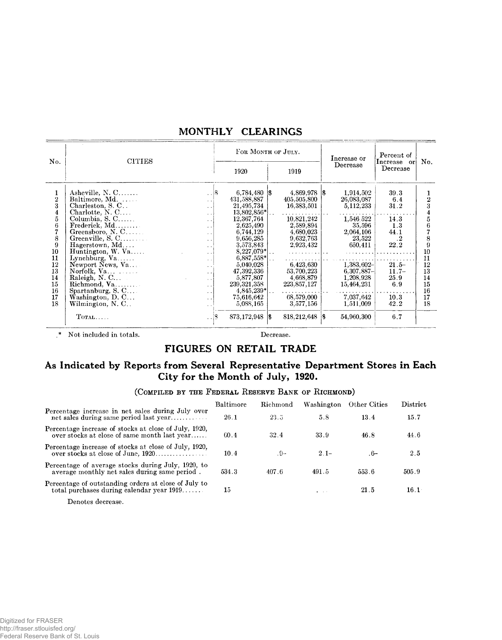|                                                                                                                               |                                                                                                                                                                                                                                                                                                                                                                                                                                                                                                                                                                                                                                                                                  |   | FOR MONTH OF JULY.                                                                                                                                                                                                                                                                      |                                                                                                                                                                                                      | Increase or                                                                                                                                                                        | Percent of                                                                                                            |                                                                                  |
|-------------------------------------------------------------------------------------------------------------------------------|----------------------------------------------------------------------------------------------------------------------------------------------------------------------------------------------------------------------------------------------------------------------------------------------------------------------------------------------------------------------------------------------------------------------------------------------------------------------------------------------------------------------------------------------------------------------------------------------------------------------------------------------------------------------------------|---|-----------------------------------------------------------------------------------------------------------------------------------------------------------------------------------------------------------------------------------------------------------------------------------------|------------------------------------------------------------------------------------------------------------------------------------------------------------------------------------------------------|------------------------------------------------------------------------------------------------------------------------------------------------------------------------------------|-----------------------------------------------------------------------------------------------------------------------|----------------------------------------------------------------------------------|
| No.                                                                                                                           | <b>CITIES</b>                                                                                                                                                                                                                                                                                                                                                                                                                                                                                                                                                                                                                                                                    |   | 1920                                                                                                                                                                                                                                                                                    | 1919                                                                                                                                                                                                 | Decrease                                                                                                                                                                           | Increase or<br>Decrease                                                                                               | No.                                                                              |
| 1<br>$\overline{2}$<br>3<br>$\overline{\mathbf{4}}$<br>5<br>6<br>8<br>9<br>10<br>11<br>12<br>13<br>14<br>15<br>16<br>17<br>18 | Asheville, $N, C, \ldots$<br>Baltimore, Md.<br>Charleston, S.C<br>$\sim$<br>Charlotte, $N, C, \ldots$<br>$\ddot{\phantom{0}}$<br>Columbia, S. C<br>$\ddotsc$<br>$Frederick, Md. \ldots \ldots$<br>$\ddot{\phantom{1}}$<br>Greensboro, N. C<br>$\ddot{\phantom{1}}$<br>Greenville, S. C<br>$\ddot{\phantom{1}}$<br>Hagerstown, Md<br>$\mathbf{r}$<br>Huntington, $W.$ Va<br>.<br>Lynchburg, $Va$<br>$\sim$<br>Newport News, Va<br>$\ddot{\phantom{0}}$<br>Norfolk, $Va$<br>$\cdot$ .<br>Raleigh, N. C<br>$\ddot{\phantom{0}}$<br>$\ddot{\phantom{0}}$<br>Spartanburg, S. C<br>$\ddot{\phantom{0}}$<br>Washington, $D, C$<br>$\ddot{\phantom{0}}$<br>Wilmington, N. C<br>$\cdot$ . | S | $6,784,480$ $\vert \$<br>431,588,887<br>21,495,734<br>$13,802,856$ <sup>*</sup>  <br>12,367,764<br>2,625,490<br>6,744,129<br>9,656,285<br>3,573,843<br>$8,227,079*$<br>$6,887,558*$<br>5,040,028<br>47.392.336<br>5,877,807<br>239, 321, 358<br>$4,845,239*$<br>75,616,642<br>5,088,165 | 4,869,978 \$<br>405,505,800<br>16,383,501<br>10,821,242<br>2.589.894<br>4,680,023<br>9,632,763<br>2,923,432<br>. 1<br>6,423.630<br>53,700,223<br>4,668,879<br>223,857,127<br>68,579,000<br>3,577,156 | 1,914,502<br>26,083,087<br>5,112,233<br>1,546 522<br>35,596<br>2,064,106<br>23,522<br>650,411<br>$1,383,602-$<br>$6,307,887-$<br>1,208,928<br>15,464,231<br>7,037,642<br>1,511,009 | 39.3<br>6.4<br>31.2<br>14.3<br>1.3<br>44.1<br>$\cdot^2$<br>22.2<br>$21.5 -$<br>$11.7-$<br>25.9<br>6.9<br>10.3<br>42.2 | 2<br>3<br>5<br>6<br>8<br>9<br>10<br>11<br>12<br>13<br>14<br>15<br>16<br>17<br>18 |
|                                                                                                                               | $T$ OTAL<br>$\ddot{\phantom{1}}$                                                                                                                                                                                                                                                                                                                                                                                                                                                                                                                                                                                                                                                 |   | $873,172,948$  \$                                                                                                                                                                                                                                                                       | 818,212,648 \$                                                                                                                                                                                       | 54,960,300                                                                                                                                                                         | 6.7                                                                                                                   |                                                                                  |

#### **MONTHLY CLEARINGS**

.\* Not included in totals. Decrease.

## **FIGURES ON RETAIL TRADE**

## **As Indicated by Reports from Several Representative Department Stores in Each City for the Month of July, 1920.**

#### (COMPILED BY THE FEDERAL RESERVE BANK OF RICHMOND)

|                                                                                                       | Baltimore | Richmond | Washington                    | Other Cities | District     |
|-------------------------------------------------------------------------------------------------------|-----------|----------|-------------------------------|--------------|--------------|
| Percentage increase in net sales during July over<br>net sales during same period last year           | 26.1      | 23.5     | 5.8                           | 13.4         | 15.7         |
| Percentage increase of stocks at close of July, 1920,<br>over stocks at close of same month last year | 60.4      | 32.4     | 33.9                          | 46.8         | 44.6         |
| Percentage increase of stocks at close of July, 1920,<br>over stocks at close of June, 1920           | 10.4      | $-9-$    | $2.1-$                        | .6–          | 2.5          |
| Percentage of average stocks during July, 1920, to<br>average monthly net sales during same period.   | 534.3     | 407.6    | 491.5                         | 553.6        | 505.9        |
| Percentage of outstanding orders at close of July to<br>total purchases during calendar year $1919$   | $15\,$    |          | $\mathbf{a}$ and $\mathbf{a}$ | 21.5         | $16.1^\circ$ |
| $\blacksquare$                                                                                        |           |          |                               |              |              |

Denotes decrease.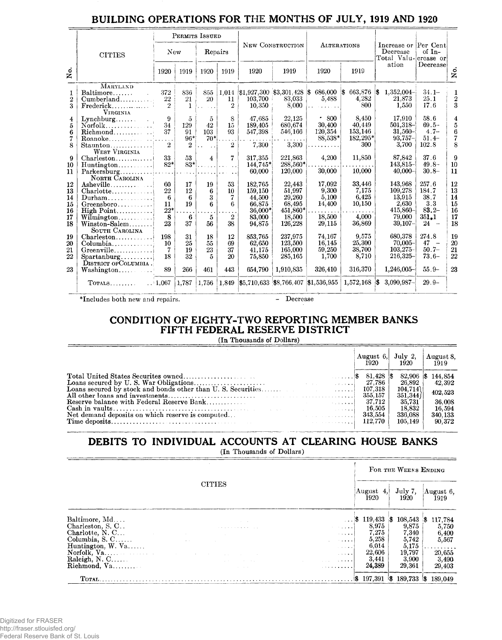## **BUILDING OPERATIONS FOR** THE **MONTHS OF JULY, 1919 AND 1920**

|                                        |                                                                                                              |                                                             | PERMITS ISSUED                         |                                      |                                          |                                                                       |                                                                       |                                                        |                                                       |                                                                          |                                                              |                                                          |
|----------------------------------------|--------------------------------------------------------------------------------------------------------------|-------------------------------------------------------------|----------------------------------------|--------------------------------------|------------------------------------------|-----------------------------------------------------------------------|-----------------------------------------------------------------------|--------------------------------------------------------|-------------------------------------------------------|--------------------------------------------------------------------------|--------------------------------------------------------------|----------------------------------------------------------|
|                                        | <b>CITIES</b>                                                                                                | New                                                         |                                        | Repairs                              |                                          |                                                                       | NEW CONSTRUCTION                                                      |                                                        | <b>ALTERATIONS</b>                                    | Increase or Per Cent<br>Decrease<br>Total Valu- crease or                | of $In-$                                                     |                                                          |
| Χo.                                    |                                                                                                              | 1920                                                        | 1919                                   | 1920                                 | 1919                                     | 1920                                                                  | 1919                                                                  | 1920                                                   | 1919                                                  | ation                                                                    | Decreasel                                                    | s.<br>Z                                                  |
| 1<br>$\boldsymbol{2}$<br>3             | MARYLAND<br>Baltimore<br>Cumberland<br>$Frederick, \ldots, \ldots, \ldots$<br><b>VIRGINIA</b>                | 372<br>22<br>$\overline{2}$                                 | 836<br>21<br>$\mathbf{1}$              | 855<br>20                            | 11<br>$\overline{2}$                     | 103,700<br>10,350                                                     | $1,014$ \$1,927,300 \$3,301,428 \$<br>83,033<br>8,000                 | $686,000$ \$<br>5,488                                  | 663,876<br>4.282<br>800                               | $1,352,004-$<br> \$<br>21,873<br>1,550                                   | $34.1 -$<br>25.1<br>17.6                                     | 1<br>$\overline{2}$<br>3                                 |
| 4<br>5<br>6<br>7<br>8                  | Roanoke<br>Staunton<br><b>WEST VIRGINIA</b>                                                                  | 9<br>34<br>37<br>2                                          | $\tilde{p}$<br>129<br>91<br>$96*$<br>2 | $\overline{5}$<br>42<br>103<br>$70*$ | 8<br>$15\,$<br>93<br>$\overline{2}$      | 47,685<br>189.405<br>547,398<br>7,300                                 | 22,125<br>680.674<br>546,166<br>3,300                                 | .800<br>30,400<br>120,354<br>88,538*                   | 8,450<br>40,449<br>153,146<br>182,295*<br>300         | 17.910<br>501.318-<br>$31,560-$<br>$93,757-$<br>3,700                    | 58.6<br>$69.5 -$<br>$4.7-$<br>$51.4-$<br>102.8               | $\overline{\mathbf{4}}$<br>5<br>$6\phantom{1}$<br>7<br>8 |
| 9<br>10<br>11                          | $Charleston, \ldots, \ldots, \ldots$<br>$Huntington \ldots \ldots$<br>$Parkersburg \ldots$<br>NORTH CAROLINA | 33<br>$82*$                                                 | 53<br>$83*$                            | $\overline{\mathbf{4}}$              | $\overline{7}$<br>$\sim$ $\sim$          | 317.355<br>144,745*<br>60.000                                         | 221,863<br>288.560*<br>120,000                                        | 4,200<br>30,000                                        | 11,850<br>10,000                                      | 87,842<br>143,815-<br>$40,000 -$                                         | 37.6<br>$49.8 -$<br>$30.8 -$                                 | 9<br>10<br>11                                            |
| 12<br>13<br>14<br>15<br>16<br>17<br>18 | Asheville<br>Charlotte<br>$Durham \dots \dots$<br>$Green sboro.$<br>High Point<br>SOUTH CAROLINA             | 60<br>22<br>6<br>$11\phantom{.0}$<br>$22^{\ast}$<br>8<br>23 | 17<br>12<br>6<br>19<br>6<br>37         | 19<br>6<br>3<br>6<br>5<br>56         | 53<br>10<br>7<br>6<br>$\mathbf{2}$<br>38 | 182.765<br>159.150<br>44,500<br>66,875<br>36,000*<br>83,000<br>94,875 | 22.443<br>51,997<br>29,260<br>68,495<br>451,860*<br>18,500<br>126,228 | 17.092<br>9,300<br>5,100<br>14,400<br>18,500<br>29,115 | 33,446<br>7,175<br>6,425<br>10,150<br>4.000<br>36,869 | 143,968<br>109,278<br>13,915<br>2,630<br>415,860-<br>79,000<br>$39,107-$ | 257.6<br>184.7<br>38.7<br>3.3<br>$83.2 -$<br>351.1<br>$24 -$ | 12<br>13<br>14<br>15<br>16<br>17<br>18                   |
| 19<br>20<br>21<br>22<br>23             | $Charleston$<br>Columbia<br>$Greenville$<br>Spartanburg<br>DISTRICT OF COLUMBIA.<br>Washington               | 198<br>10<br>7<br>18<br>89                                  | 31<br>25<br>19<br>32<br>266            | 18<br>55<br>23<br>5<br>461           | 12<br>69<br>37<br>20<br>443              | 853,765<br>62,650<br>41,175<br>75,850<br>654,790                      | 237,975<br>123,500<br>165,000<br>285,165<br>1,910,835                 | 74.167<br>16,145<br>59,250<br>1,700<br>326,410         | 9,575<br>25,300<br>38,700<br>8,710<br>316,370         | 680,378<br>$70,005 -$<br>$103.275-$<br>$216,325 -$<br>$1,246,005 -$      | 274.8<br>$47 -$<br>$50.7 -$<br>$73.6-$<br>$55.9-$            | 19<br>20<br>21<br>22<br>23                               |
|                                        | ${\rm TorALS.}\dots\dots$                                                                                    | $\therefore$ 1,067                                          | 1,787                                  | 1.756                                | 1,849                                    |                                                                       | $\frac{15}{710,633}$ \$8,766,407 \$1,536,955                          |                                                        | $1,572,168$ \$                                        | 3,090,987-                                                               | $29.9-$                                                      |                                                          |

\*Includes both new and repairs. - Decrease

#### **CONDITION OF EIGHTY-TWO REPORTING MEMBER BANKS FIFTH FEDERAL RESERVE DISTRICT**

(In Thousands of Dollars)

|                                                  |  | August 6, July 2, August 8 |         |         |
|--------------------------------------------------|--|----------------------------|---------|---------|
|                                                  |  |                            |         |         |
|                                                  |  |                            | 26.892  | 42.392  |
|                                                  |  |                            | 104,714 | 402,523 |
|                                                  |  |                            | 351,344 |         |
|                                                  |  |                            | 35.731  | 36.008  |
|                                                  |  |                            | 18.832  | 16.594  |
| Net demand deposits on which reserve is computed |  |                            | 336,088 | 340,133 |
|                                                  |  |                            | 105,149 | 90,372  |
|                                                  |  |                            |         |         |

## **DEBITS TO INDIVIDUAL ACCOUNTS AT CLEARING HOUSE BANKS**

(In Thousands of Dollars)

|                                   |                                |                                            |                                                                   | FOR THE WEEKS ENDING |                               |
|-----------------------------------|--------------------------------|--------------------------------------------|-------------------------------------------------------------------|----------------------|-------------------------------|
|                                   | <b>CITIES</b>                  |                                            | August 4,<br>1920                                                 | July 7,<br>1920      | August 6,<br><b>1919</b>      |
|                                   |                                |                                            |                                                                   |                      |                               |
| Baltimore, Md<br>Charleston, S.C. |                                |                                            | $\ldots$ \$ 119,433 \$ 108,543 \$<br>8,975                        | 9,875                | 117,784                       |
|                                   |                                | <b>Contractor</b>                          | 7,275                                                             |                      | 5,750                         |
| Charlotte, N.C                    |                                |                                            |                                                                   | 7,340                | 6,400                         |
| Columbia, $S, C, \ldots$          | <b>Contract</b>                | $\cdots$                                   | 5,258                                                             | 5,742                | 5,567                         |
| Huntington, W. Va.                |                                | $-2$ $-2$ $-4$ $-4$                        | 6,014                                                             | 5,175                | $\cdots \cdots \cdots \cdots$ |
|                                   |                                | $-1$ $-1$ $-1$ $-1$ $-1$                   | 22,606                                                            | 19,797               | 20,655                        |
| Raleigh, N. C                     | and the company of the company | <b>Southern Comment of Comment Comment</b> | 3,441                                                             | 3,900                | 3,490                         |
| Richmond, Va                      | and the state of               | $\ldots \ldots \ldots \ldots$              | 24,389                                                            | 29,361               | 29,403                        |
|                                   |                                |                                            | $\frac{1}{3}$ 197,391 $\frac{1}{3}$ 189,733 $\frac{1}{3}$ 189,049 |                      |                               |